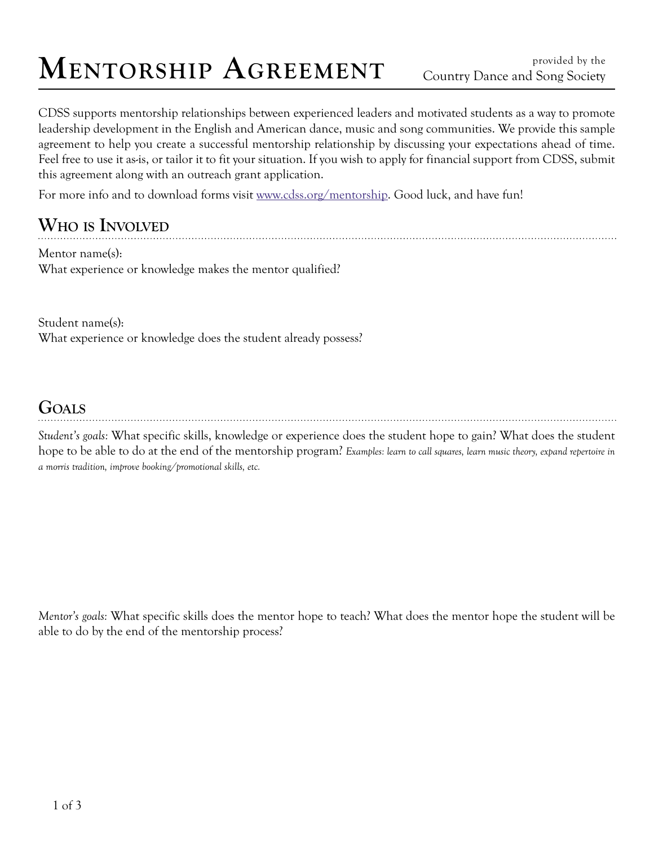# **MENTORSHIP AGREEMENT** Country Dance and Song Society

CDSS supports mentorship relationships between experienced leaders and motivated students as a way to promote leadership development in the English and American dance, music and song communities. We provide this sample agreement to help you create a successful mentorship relationship by discussing your expectations ahead of time. Feel free to use it as-is, or tailor it to fit your situation. If you wish to apply for financial support from CDSS, submit this agreement along with an outreach grant application.

For more info and to download forms visit www.cdss.org/mentorship. Good luck, and have fun!

### **Who is Involved**

Mentor name(s): What experience or knowledge makes the mentor qualified?

Student name(s): What experience or knowledge does the student already possess?

#### **Goals**

*Student's goals:* What specific skills, knowledge or experience does the student hope to gain? What does the student hope to be able to do at the end of the mentorship program? *Examples: learn to call squares, learn music theory, expand repertoire in a morris tradition, improve booking/promotional skills, etc.*

*Mentor's goals:* What specific skills does the mentor hope to teach? What does the mentor hope the student will be able to do by the end of the mentorship process?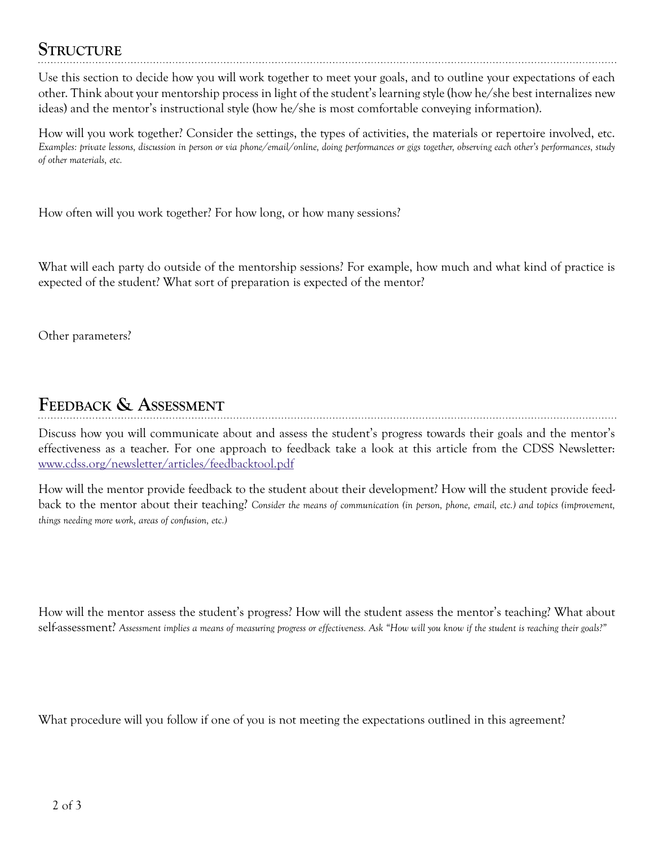#### **Structure**

Use this section to decide how you will work together to meet your goals, and to outline your expectations of each other. Think about your mentorship process in light of the student's learning style (how he/she best internalizes new ideas) and the mentor's instructional style (how he/she is most comfortable conveying information).

How will you work together? Consider the settings, the types of activities, the materials or repertoire involved, etc. *Examples: private lessons, discussion in person or via phone/email/online, doing performances or gigs together, observing each other's performances, study of other materials, etc.*

How often will you work together? For how long, or how many sessions?

What will each party do outside of the mentorship sessions? For example, how much and what kind of practice is expected of the student? What sort of preparation is expected of the mentor?

Other parameters?

## **Feedback & Assessment**

Discuss how you will communicate about and assess the student's progress towards their goals and the mentor's effectiveness as a teacher. For one approach to feedback take a look at this article from the CDSS Newsletter: www.cdss.org/newsletter/articles/feedbacktool.pdf

How will the mentor provide feedback to the student about their development? How will the student provide feedback to the mentor about their teaching? *Consider the means of communication (in person, phone, email, etc.) and topics (improvement, things needing more work, areas of confusion, etc.)*

How will the mentor assess the student's progress? How will the student assess the mentor's teaching? What about self-assessment? *Assessment implies a means of measuring progress or effectiveness. Ask "How will you know if the student is reaching their goals?"*

What procedure will you follow if one of you is not meeting the expectations outlined in this agreement?